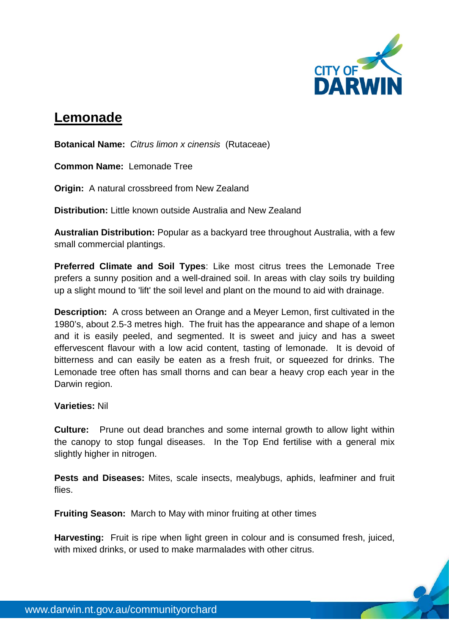

## **Lemonade**

**Botanical Name:** *Citrus limon x cinensis* (Rutaceae)

**Common Name:** Lemonade Tree

**Origin:** A natural crossbreed from New Zealand

**Distribution:** Little known outside Australia and New Zealand

**Australian Distribution:** Popular as a backyard tree throughout Australia, with a few small commercial plantings.

**Preferred Climate and Soil Types**: Like most citrus trees the Lemonade Tree prefers a sunny position and a well-drained soil. In areas with clay soils try building up a slight mound to 'lift' the soil level and plant on the mound to aid with drainage.

**Description:** A cross between an Orange and a Meyer Lemon, first cultivated in the 1980's, about 2.5-3 metres high. The fruit has the appearance and shape of a lemon and it is easily peeled, and segmented. It is sweet and juicy and has a sweet effervescent flavour with a low acid content, tasting of lemonade. It is devoid of bitterness and can easily be eaten as a fresh fruit, or squeezed for drinks. The Lemonade tree often has small thorns and can bear a heavy crop each year in the Darwin region.

## **Varieties:** Nil

**Culture:** Prune out dead branches and some internal growth to allow light within the canopy to stop fungal diseases. In the Top End fertilise with a general mix slightly higher in nitrogen.

**Pests and Diseases:** Mites, scale insects, mealybugs, aphids, leafminer and fruit flies.

**Fruiting Season:** March to May with minor fruiting at other times

**Harvesting:** Fruit is ripe when light green in colour and is consumed fresh, juiced, with mixed drinks, or used to make marmalades with other citrus.